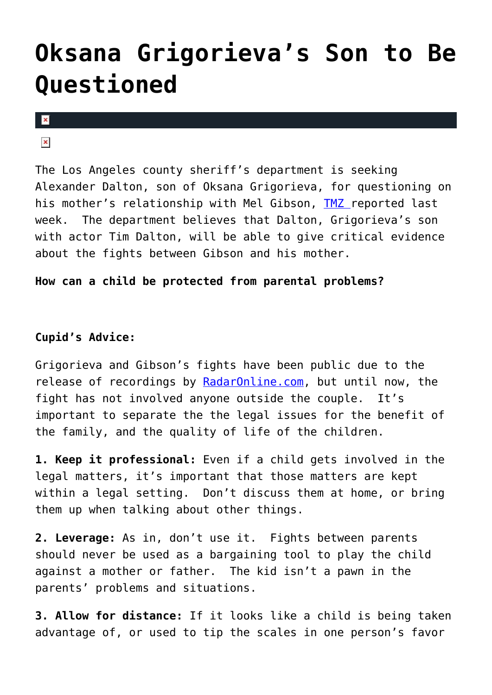## **[Oksana Grigorieva's Son to Be](https://cupidspulse.com/2125/oksana-grigorieva%e2%80%99s-son-to-be-questioned/) [Questioned](https://cupidspulse.com/2125/oksana-grigorieva%e2%80%99s-son-to-be-questioned/)**

 $\mathbf x$ 

 $\pmb{\times}$ 

The Los Angeles county sheriff's department is seeking Alexander Dalton, son of Oksana Grigorieva, for questioning on his mother's relationship with Mel Gibson, [TMZ](http://www.tmz.com/2010/07/13/mel-gibson-oksana-grigorieva-son-boy-alexander-dalton-witness-interview-domestic-violence/#ixzz0tauEoTtU) reported last week. The department believes that Dalton, Grigorieva's son with actor Tim Dalton, will be able to give critical evidence about the fights between Gibson and his mother.

**How can a child be protected from parental problems?**

## **Cupid's Advice:**

Grigorieva and Gibson's fights have been public due to the release of recordings by [RadarOnline.com,](http://www.radaronline.com/exclusives/2010/07/exclusive-new-audio-mel-gibson-completely-loses-it-btch-cnt-whre-gold-digger) but until now, the fight has not involved anyone outside the couple. It's important to separate the the legal issues for the benefit of the family, and the quality of life of the children.

**1. Keep it professional:** Even if a child gets involved in the legal matters, it's important that those matters are kept within a legal setting. Don't discuss them at home, or bring them up when talking about other things.

**2. Leverage:** As in, don't use it. Fights between parents should never be used as a bargaining tool to play the child against a mother or father. The kid isn't a pawn in the parents' problems and situations.

**3. Allow for distance:** If it looks like a child is being taken advantage of, or used to tip the scales in one person's favor